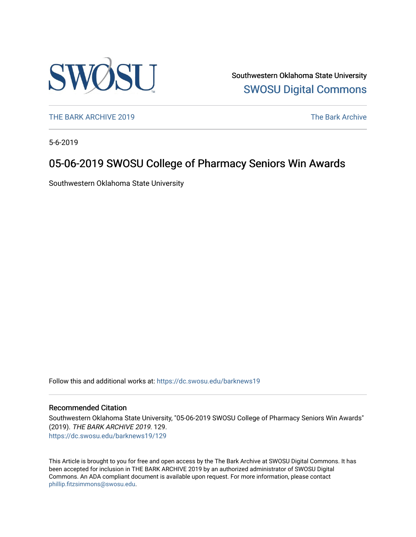

Southwestern Oklahoma State University [SWOSU Digital Commons](https://dc.swosu.edu/) 

[THE BARK ARCHIVE 2019](https://dc.swosu.edu/barknews19) The Bark Archive

5-6-2019

### 05-06-2019 SWOSU College of Pharmacy Seniors Win Awards

Southwestern Oklahoma State University

Follow this and additional works at: [https://dc.swosu.edu/barknews19](https://dc.swosu.edu/barknews19?utm_source=dc.swosu.edu%2Fbarknews19%2F129&utm_medium=PDF&utm_campaign=PDFCoverPages)

#### Recommended Citation

Southwestern Oklahoma State University, "05-06-2019 SWOSU College of Pharmacy Seniors Win Awards" (2019). THE BARK ARCHIVE 2019. 129. [https://dc.swosu.edu/barknews19/129](https://dc.swosu.edu/barknews19/129?utm_source=dc.swosu.edu%2Fbarknews19%2F129&utm_medium=PDF&utm_campaign=PDFCoverPages)

This Article is brought to you for free and open access by the The Bark Archive at SWOSU Digital Commons. It has been accepted for inclusion in THE BARK ARCHIVE 2019 by an authorized administrator of SWOSU Digital Commons. An ADA compliant document is available upon request. For more information, please contact [phillip.fitzsimmons@swosu.edu](mailto:phillip.fitzsimmons@swosu.edu).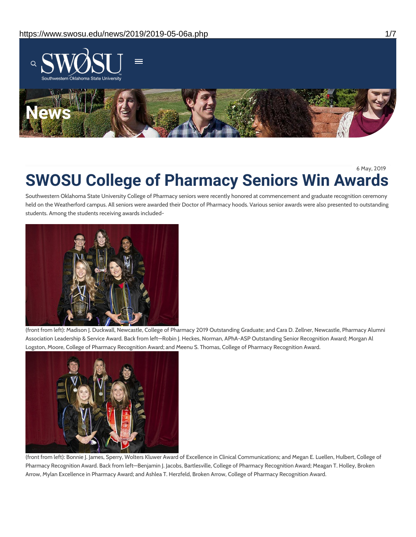

6 May, 2019

# **SWOSU College of Pharmacy Seniors Win Awards**

Southwestern Oklahoma State University College of Pharmacy seniors were recently honored at commencement and graduate recognition ceremony held on the Weatherford campus. All seniors were awarded their Doctor of Pharmacy hoods. Various senior awards were also presented to outstanding students. Among the students receiving awards included-



(front from left): Madison J. Duckwall, Newcastle, College of Pharmacy 2019 Outstanding Graduate; and Cara D. Zellner, Newcastle, Pharmacy Alumni Association Leadership & Service Award. Back from left—Robin J. Heckes, Norman, APhA-ASP Outstanding Senior Recognition Award; Morgan Al Logston, Moore, College of Pharmacy Recognition Award; and Meenu S. Thomas, College of Pharmacy Recognition Award.



(front from left): Bonnie J. James, Sperry, Wolters Kluwer Award of Excellence in Clinical Communications; and Megan E. Luellen, Hulbert, College of Pharmacy Recognition Award. Back from left—Benjamin J. Jacobs, Bartlesville, College of Pharmacy Recognition Award; Meagan T. Holley, Broken Arrow, Mylan Excellence in Pharmacy Award; and Ashlea T. Herzfeld, Broken Arrow, College of Pharmacy Recognition Award.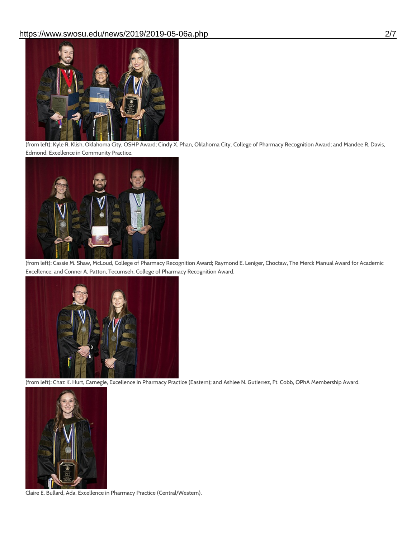

(from left): Kyle R. Klish, Oklahoma City, OSHP Award; Cindy X. Phan, Oklahoma City, College of Pharmacy Recognition Award; and Mandee R. Davis, Edmond, Excellence in Community Practice.



(from left): Cassie M. Shaw, McLoud, College of Pharmacy Recognition Award; Raymond E. Leniger, Choctaw, The Merck Manual Award for Academic Excellence; and Conner A. Patton, Tecumseh, College of Pharmacy Recognition Award.



(from left): Chaz K. Hurt, Carnegie, Excellence in Pharmacy Practice (Eastern); and Ashlee N. Gutierrez, Ft. Cobb, OPhA Membership Award.



Claire E. Bullard, Ada, Excellence in Pharmacy Practice (Central/Western).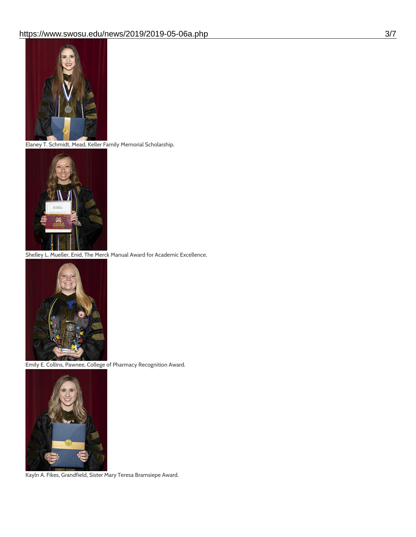

Elaney T. Schmidt, Mead, Keller Family Memorial Scholarship.



Shelley L. Mueller, Enid, The Merck Manual Award for Academic Excellence.



Emily E. Collins, Pawnee, College of Pharmacy Recognition Award.



Kayln A. Fikes, Grandfield, Sister Mary Teresa Bramsiepe Award.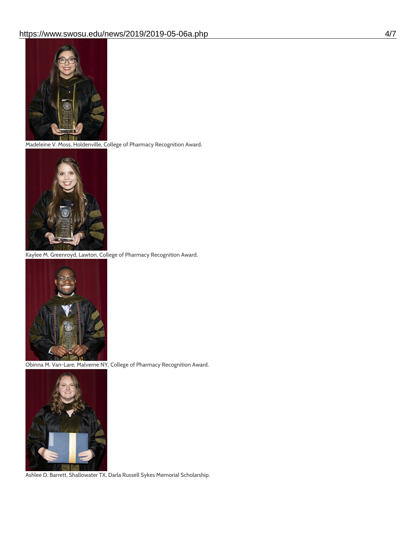

Madeleine V. Moss, Holdenville, College of Pharmacy Recognition Award.



Kaylee M. Greenroyd, Lawton, College of Pharmacy Recognition Award.



Obinna M. Van-Lare, Malverne NY, College of Pharmacy Recognition Award.



Ashlee D. Barrett, Shallowater TX, Darla Russell Sykes Memorial Scholarship.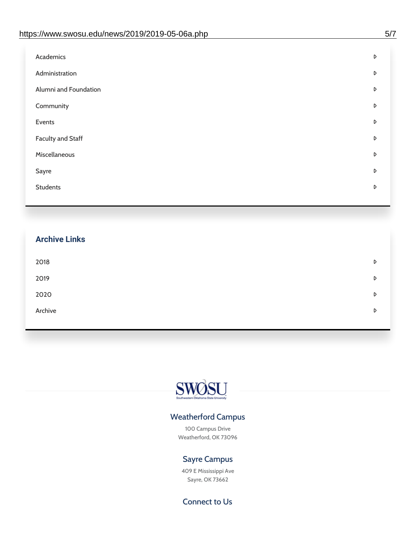| Administration<br>D<br>Alumni and Foundation<br>D<br>Community<br>D<br>Events<br>D | Academics | D |
|------------------------------------------------------------------------------------|-----------|---|
|                                                                                    |           |   |
|                                                                                    |           |   |
|                                                                                    |           |   |
|                                                                                    |           |   |
| <b>Faculty and Staff</b><br>D                                                      |           |   |
| Miscellaneous<br>D                                                                 |           |   |
| Sayre<br>D                                                                         |           |   |
| <b>Students</b><br>D                                                               |           |   |

## **Archive Links**  $2018$  $2019$ [2020](https://www.swosu.edu/news/2020/index.php)  $\bullet$ [Archive](https://dc.swosu.edu/bark/) **Archive Archive Archive Archive Archive** Archive Archive Archive Archive Archive Archive Archive Archive



#### Weatherford Campus

100 Campus Drive Weatherford, OK 73096

### Sayre Campus

409 E Mississippi Ave Sayre, OK 73662

Connect to Us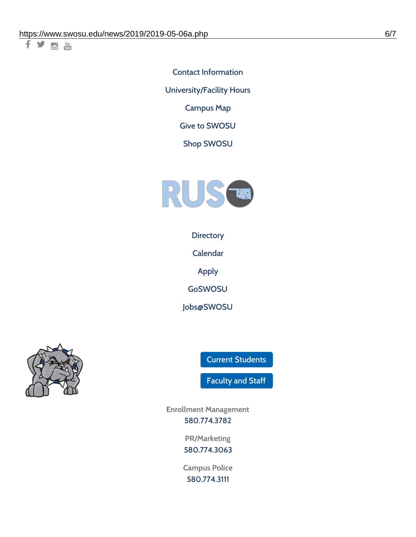千岁回调

Contact [Information](https://www.swosu.edu/about/contact.php) [University/Facility](https://www.swosu.edu/about/operating-hours.php) Hours [Campus](https://map.concept3d.com/?id=768#!ct/10964,10214,10213,10212,10205,10204,10203,10202,10136,10129,10128,0,31226,10130,10201,10641,0) Map

Give to [SWOSU](https://standingfirmly.com/donate)

Shop [SWOSU](https://shopswosu.merchorders.com/)



**[Directory](https://www.swosu.edu/directory/index.php)** 

[Calendar](https://eventpublisher.dudesolutions.com/swosu/)

[Apply](https://www.swosu.edu/admissions/apply-to-swosu.php)

[GoSWOSU](https://qlsso.quicklaunchsso.com/home/1267)

[Jobs@SWOSU](https://swosu.csod.com/ux/ats/careersite/1/home?c=swosu)



Current [Students](https://bulldog.swosu.edu/index.php)

[Faculty](https://bulldog.swosu.edu/faculty-staff/index.php) and Staff

**Enrollment Management** [580.774.3782](tel:5807743782)

> **PR/Marketing** [580.774.3063](tel:5807743063)

**Campus Police** [580.774.3111](tel:5807743111)